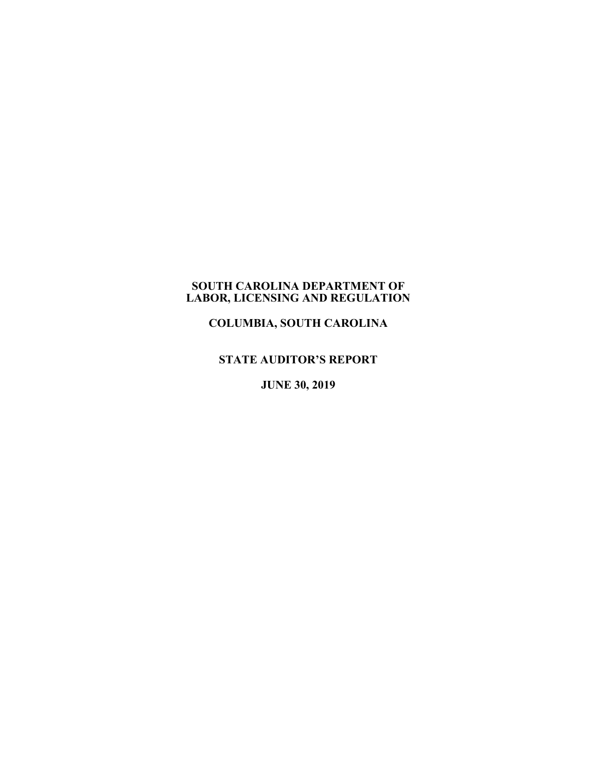## **SOUTH CAROLINA DEPARTMENT OF LABOR, LICENSING AND REGULATION**

**COLUMBIA, SOUTH CAROLINA**

**STATE AUDITOR'S REPORT**

**JUNE 30, 2019**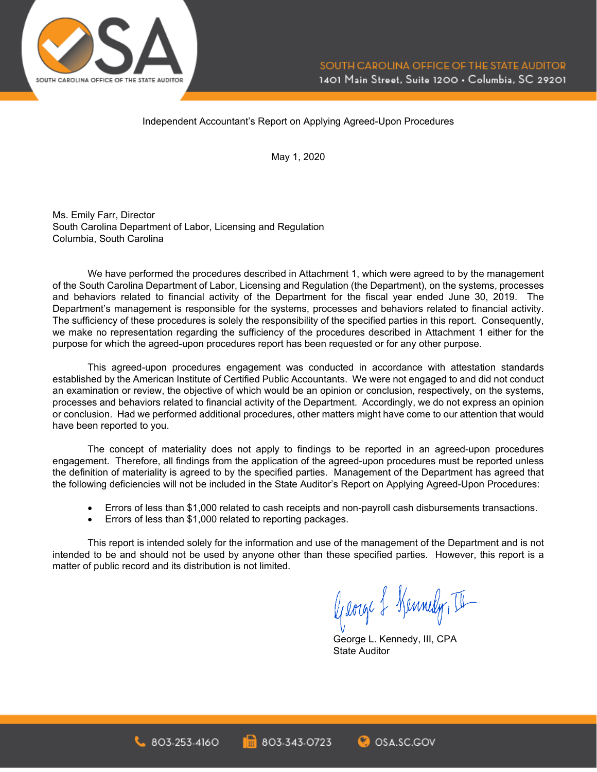

#### Independent Accountant's Report on Applying Agreed-Upon Procedures

May 1, 2020

Ms. Emily Farr, Director South Carolina Department of Labor, Licensing and Regulation Columbia, South Carolina

We have performed the procedures described in Attachment 1, which were agreed to by the management of the South Carolina Department of Labor, Licensing and Regulation (the Department), on the systems, processes and behaviors related to financial activity of the Department for the fiscal year ended June 30, 2019. The Department's management is responsible for the systems, processes and behaviors related to financial activity. The sufficiency of these procedures is solely the responsibility of the specified parties in this report. Consequently, we make no representation regarding the sufficiency of the procedures described in Attachment 1 either for the purpose for which the agreed-upon procedures report has been requested or for any other purpose.

This agreed-upon procedures engagement was conducted in accordance with attestation standards established by the American Institute of Certified Public Accountants. We were not engaged to and did not conduct an examination or review, the objective of which would be an opinion or conclusion, respectively, on the systems, processes and behaviors related to financial activity of the Department. Accordingly, we do not express an opinion or conclusion. Had we performed additional procedures, other matters might have come to our attention that would have been reported to you.

The concept of materiality does not apply to findings to be reported in an agreed-upon procedures engagement. Therefore, all findings from the application of the agreed-upon procedures must be reported unless the definition of materiality is agreed to by the specified parties. Management of the Department has agreed that the following deficiencies will not be included in the State Auditor's Report on Applying Agreed-Upon Procedures:

- Errors of less than \$1,000 related to cash receipts and non-payroll cash disbursements transactions.
- Errors of less than \$1,000 related to reporting packages.

This report is intended solely for the information and use of the management of the Department and is not intended to be and should not be used by anyone other than these specified parties. However, this report is a matter of public record and its distribution is not limited.

George & Kennedy, II

George L. Kennedy, III, CPA State Auditor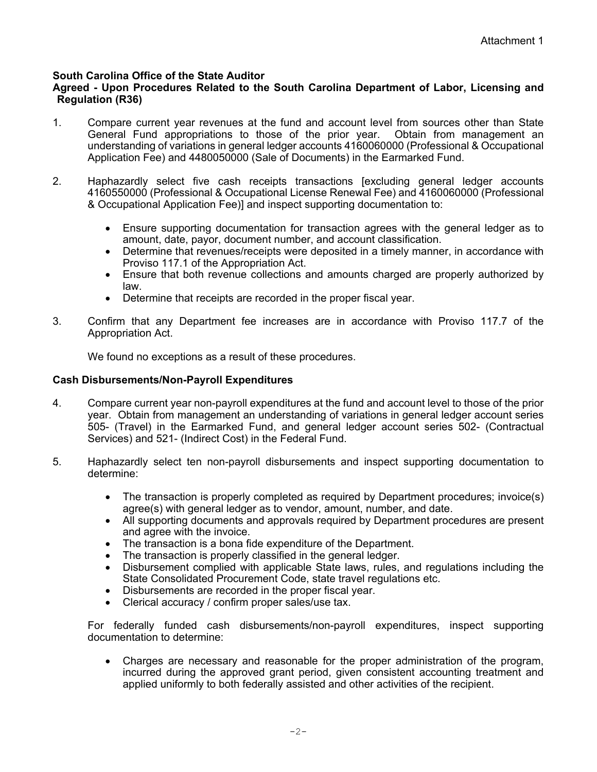# **South Carolina Office of the State Auditor**

#### **Agreed - Upon Procedures Related to the South Carolina Department of Labor, Licensing and Regulation (R36)**

- 1. Compare current year revenues at the fund and account level from sources other than State General Fund appropriations to those of the prior year. Obtain from management an understanding of variations in general ledger accounts 4160060000 (Professional & Occupational Application Fee) and 4480050000 (Sale of Documents) in the Earmarked Fund.
- 2. Haphazardly select five cash receipts transactions [excluding general ledger accounts 4160550000 (Professional & Occupational License Renewal Fee) and 4160060000 (Professional & Occupational Application Fee)] and inspect supporting documentation to:
	- Ensure supporting documentation for transaction agrees with the general ledger as to amount, date, payor, document number, and account classification.
	- Determine that revenues/receipts were deposited in a timely manner, in accordance with Proviso 117.1 of the Appropriation Act.
	- Ensure that both revenue collections and amounts charged are properly authorized by law.
	- Determine that receipts are recorded in the proper fiscal year.
- 3. Confirm that any Department fee increases are in accordance with Proviso 117.7 of the Appropriation Act.

We found no exceptions as a result of these procedures.

#### **Cash Disbursements/Non-Payroll Expenditures**

- 4. Compare current year non-payroll expenditures at the fund and account level to those of the prior year. Obtain from management an understanding of variations in general ledger account series 505- (Travel) in the Earmarked Fund, and general ledger account series 502- (Contractual Services) and 521- (Indirect Cost) in the Federal Fund.
- 5. Haphazardly select ten non-payroll disbursements and inspect supporting documentation to determine:
	- The transaction is properly completed as required by Department procedures; invoice(s) agree(s) with general ledger as to vendor, amount, number, and date.
	- All supporting documents and approvals required by Department procedures are present and agree with the invoice.
	- The transaction is a bona fide expenditure of the Department.
	- The transaction is properly classified in the general ledger.
	- Disbursement complied with applicable State laws, rules, and regulations including the State Consolidated Procurement Code, state travel regulations etc.
	- Disbursements are recorded in the proper fiscal year.
	- Clerical accuracy / confirm proper sales/use tax.

For federally funded cash disbursements/non-payroll expenditures, inspect supporting documentation to determine:

• Charges are necessary and reasonable for the proper administration of the program, incurred during the approved grant period, given consistent accounting treatment and applied uniformly to both federally assisted and other activities of the recipient.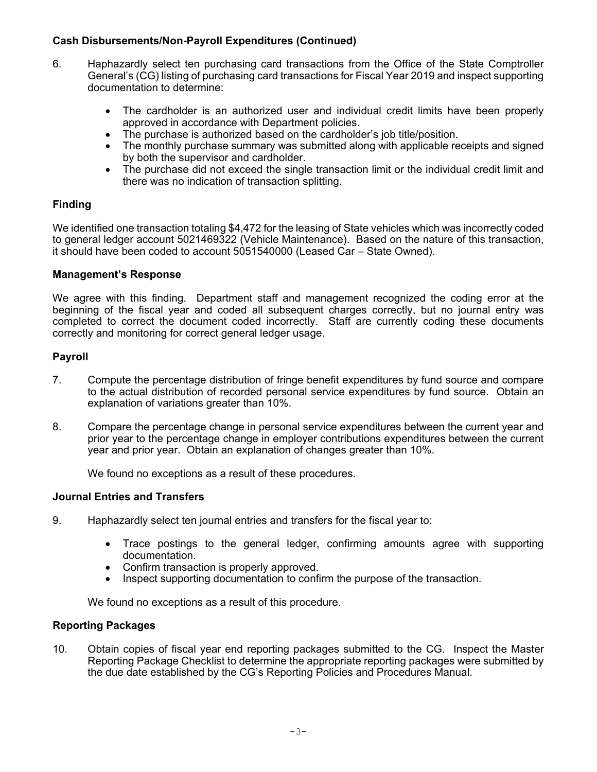# **Cash Disbursements/Non-Payroll Expenditures (Continued)**

- 6. Haphazardly select ten purchasing card transactions from the Office of the State Comptroller General's (CG) listing of purchasing card transactions for Fiscal Year 2019 and inspect supporting documentation to determine:
	- The cardholder is an authorized user and individual credit limits have been properly approved in accordance with Department policies.
	- The purchase is authorized based on the cardholder's job title/position.
	- The monthly purchase summary was submitted along with applicable receipts and signed by both the supervisor and cardholder.
	- The purchase did not exceed the single transaction limit or the individual credit limit and there was no indication of transaction splitting.

# **Finding**

We identified one transaction totaling \$4,472 for the leasing of State vehicles which was incorrectly coded to general ledger account 5021469322 (Vehicle Maintenance). Based on the nature of this transaction, it should have been coded to account 5051540000 (Leased Car – State Owned).

### **Management's Response**

We agree with this finding. Department staff and management recognized the coding error at the beginning of the fiscal year and coded all subsequent charges correctly, but no journal entry was completed to correct the document coded incorrectly. Staff are currently coding these documents correctly and monitoring for correct general ledger usage.

# **Payroll**

- 7. Compute the percentage distribution of fringe benefit expenditures by fund source and compare to the actual distribution of recorded personal service expenditures by fund source. Obtain an explanation of variations greater than 10%.
- 8. Compare the percentage change in personal service expenditures between the current year and prior year to the percentage change in employer contributions expenditures between the current year and prior year. Obtain an explanation of changes greater than 10%.

We found no exceptions as a result of these procedures.

### **Journal Entries and Transfers**

- 9. Haphazardly select ten journal entries and transfers for the fiscal year to:
	- Trace postings to the general ledger, confirming amounts agree with supporting documentation.
	- Confirm transaction is properly approved.
	- Inspect supporting documentation to confirm the purpose of the transaction.

We found no exceptions as a result of this procedure.

# **Reporting Packages**

10. Obtain copies of fiscal year end reporting packages submitted to the CG. Inspect the Master Reporting Package Checklist to determine the appropriate reporting packages were submitted by the due date established by the CG's Reporting Policies and Procedures Manual.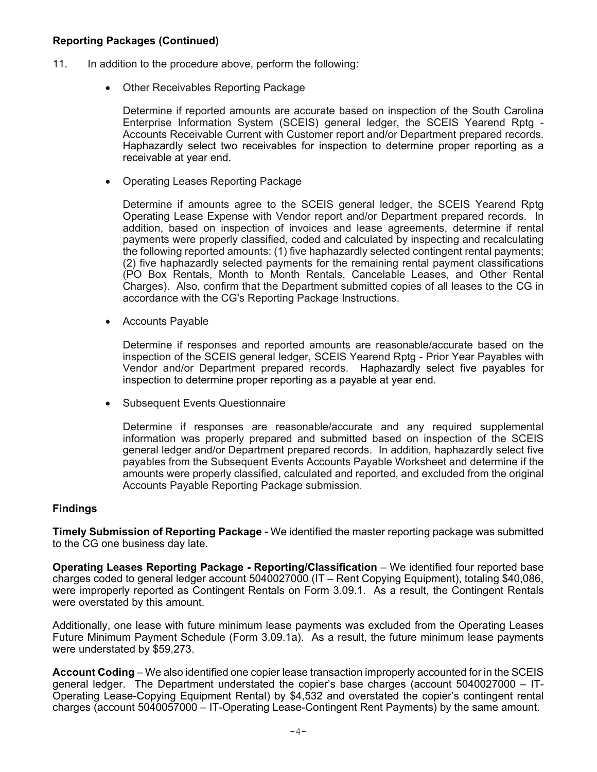## **Reporting Packages (Continued)**

- 11. In addition to the procedure above, perform the following:
	- Other Receivables Reporting Package

Determine if reported amounts are accurate based on inspection of the South Carolina Enterprise Information System (SCEIS) general ledger, the SCEIS Yearend Rptg - Accounts Receivable Current with Customer report and/or Department prepared records. Haphazardly select two receivables for inspection to determine proper reporting as a receivable at year end.

• Operating Leases Reporting Package

Determine if amounts agree to the SCEIS general ledger, the SCEIS Yearend Rptg Operating Lease Expense with Vendor report and/or Department prepared records. In addition, based on inspection of invoices and lease agreements, determine if rental payments were properly classified, coded and calculated by inspecting and recalculating the following reported amounts: (1) five haphazardly selected contingent rental payments; (2) five haphazardly selected payments for the remaining rental payment classifications (PO Box Rentals, Month to Month Rentals, Cancelable Leases, and Other Rental Charges). Also, confirm that the Department submitted copies of all leases to the CG in accordance with the CG's Reporting Package Instructions.

• Accounts Payable

Determine if responses and reported amounts are reasonable/accurate based on the inspection of the SCEIS general ledger, SCEIS Yearend Rptg - Prior Year Payables with Vendor and/or Department prepared records. Haphazardly select five payables for inspection to determine proper reporting as a payable at year end.

• Subsequent Events Questionnaire

Determine if responses are reasonable/accurate and any required supplemental information was properly prepared and submitted based on inspection of the SCEIS general ledger and/or Department prepared records. In addition, haphazardly select five payables from the Subsequent Events Accounts Payable Worksheet and determine if the amounts were properly classified, calculated and reported, and excluded from the original Accounts Payable Reporting Package submission.

### **Findings**

**Timely Submission of Reporting Package -** We identified the master reporting package was submitted to the CG one business day late.

**Operating Leases Reporting Package - Reporting/Classification** – We identified four reported base charges coded to general ledger account 5040027000 (IT – Rent Copying Equipment), totaling \$40,086, were improperly reported as Contingent Rentals on Form 3.09.1. As a result, the Contingent Rentals were overstated by this amount.

Additionally, one lease with future minimum lease payments was excluded from the Operating Leases Future Minimum Payment Schedule (Form 3.09.1a). As a result, the future minimum lease payments were understated by \$59,273.

**Account Coding** – We also identified one copier lease transaction improperly accounted for in the SCEIS general ledger. The Department understated the copier's base charges (account 5040027000 – IT-Operating Lease-Copying Equipment Rental) by \$4,532 and overstated the copier's contingent rental charges (account 5040057000 – IT-Operating Lease-Contingent Rent Payments) by the same amount.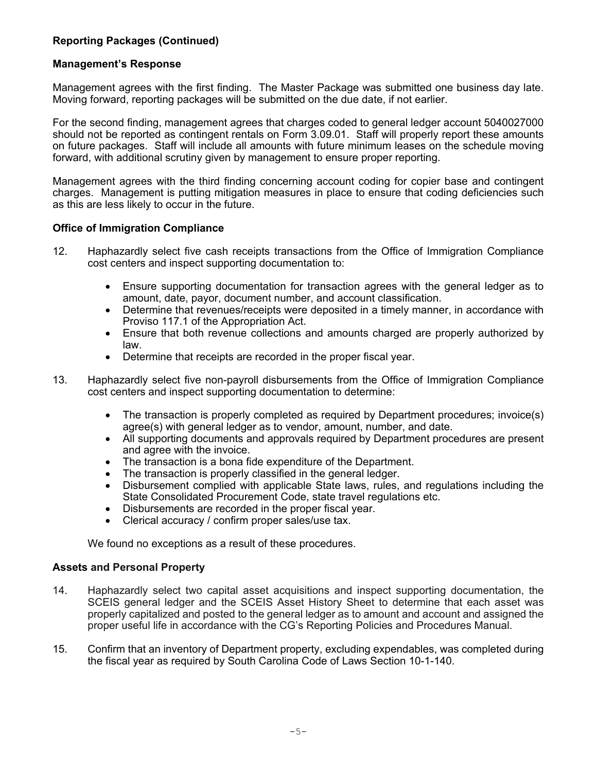# **Reporting Packages (Continued)**

#### **Management's Response**

Management agrees with the first finding. The Master Package was submitted one business day late. Moving forward, reporting packages will be submitted on the due date, if not earlier.

For the second finding, management agrees that charges coded to general ledger account 5040027000 should not be reported as contingent rentals on Form 3.09.01. Staff will properly report these amounts on future packages. Staff will include all amounts with future minimum leases on the schedule moving forward, with additional scrutiny given by management to ensure proper reporting.

Management agrees with the third finding concerning account coding for copier base and contingent charges. Management is putting mitigation measures in place to ensure that coding deficiencies such as this are less likely to occur in the future.

#### **Office of Immigration Compliance**

- 12. Haphazardly select five cash receipts transactions from the Office of Immigration Compliance cost centers and inspect supporting documentation to:
	- Ensure supporting documentation for transaction agrees with the general ledger as to amount, date, payor, document number, and account classification.
	- Determine that revenues/receipts were deposited in a timely manner, in accordance with Proviso 117.1 of the Appropriation Act.
	- Ensure that both revenue collections and amounts charged are properly authorized by law.
	- Determine that receipts are recorded in the proper fiscal year.
- 13. Haphazardly select five non-payroll disbursements from the Office of Immigration Compliance cost centers and inspect supporting documentation to determine:
	- The transaction is properly completed as required by Department procedures; invoice(s) agree(s) with general ledger as to vendor, amount, number, and date.
	- All supporting documents and approvals required by Department procedures are present and agree with the invoice.
	- The transaction is a bona fide expenditure of the Department.
	- The transaction is properly classified in the general ledger.
	- Disbursement complied with applicable State laws, rules, and regulations including the State Consolidated Procurement Code, state travel regulations etc.
	- Disbursements are recorded in the proper fiscal year.
	- Clerical accuracy / confirm proper sales/use tax.

We found no exceptions as a result of these procedures.

#### **Assets and Personal Property**

- 14. Haphazardly select two capital asset acquisitions and inspect supporting documentation, the SCEIS general ledger and the SCEIS Asset History Sheet to determine that each asset was properly capitalized and posted to the general ledger as to amount and account and assigned the proper useful life in accordance with the CG's Reporting Policies and Procedures Manual.
- 15. Confirm that an inventory of Department property, excluding expendables, was completed during the fiscal year as required by South Carolina Code of Laws Section 10-1-140.